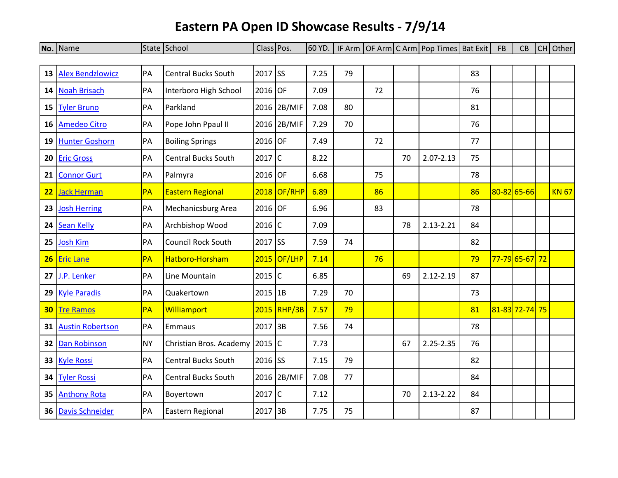## **Eastern PA Open ID Showcase Results - 7/9/14**

|    | No. Name                |           | State School                   | Class Pos. |             | 60 YD. |    |    |    | IF Arm   OF Arm   C Arm   Pop Times   Bat Exit |    | <b>FB</b> | CB             | CH Other     |
|----|-------------------------|-----------|--------------------------------|------------|-------------|--------|----|----|----|------------------------------------------------|----|-----------|----------------|--------------|
|    |                         |           |                                |            |             |        |    |    |    |                                                |    |           |                |              |
| 13 | <b>Alex Bendzlowicz</b> | PA        | <b>Central Bucks South</b>     | 2017 SS    |             | 7.25   | 79 |    |    |                                                | 83 |           |                |              |
| 14 | <b>Noah Brisach</b>     | PA        | Interboro High School          | 2016 OF    |             | 7.09   |    | 72 |    |                                                | 76 |           |                |              |
| 15 | <b>Tyler Bruno</b>      | PA        | Parkland                       |            | 2016 2B/MIF | 7.08   | 80 |    |    |                                                | 81 |           |                |              |
| 16 | <b>Amedeo Citro</b>     | PA        | Pope John Ppaul II             |            | 2016 2B/MIF | 7.29   | 70 |    |    |                                                | 76 |           |                |              |
| 19 | <b>Hunter Goshorn</b>   | PA        | <b>Boiling Springs</b>         | 2016 OF    |             | 7.49   |    | 72 |    |                                                | 77 |           |                |              |
| 20 | <b>Eric Gross</b>       | PA        | <b>Central Bucks South</b>     | $2017$ C   |             | 8.22   |    |    | 70 | $2.07 - 2.13$                                  | 75 |           |                |              |
| 21 | <b>Connor Gurt</b>      | PA        | Palmyra                        | 2016 OF    |             | 6.68   |    | 75 |    |                                                | 78 |           |                |              |
| 22 | <b>Jack Herman</b>      | PA        | <b>Eastern Regional</b>        |            | 2018 OF/RHP | 6.89   |    | 86 |    |                                                | 86 |           | 80-82 65-66    | <b>KN 67</b> |
| 23 | <b>Josh Herring</b>     | PA        | Mechanicsburg Area             | 2016 OF    |             | 6.96   |    | 83 |    |                                                | 78 |           |                |              |
| 24 | <b>Sean Kelly</b>       | PA        | Archbishop Wood                | $2016$ C   |             | 7.09   |    |    | 78 | 2.13-2.21                                      | 84 |           |                |              |
| 25 | <b>Josh Kim</b>         | PA        | <b>Council Rock South</b>      | 2017 SS    |             | 7.59   | 74 |    |    |                                                | 82 |           |                |              |
| 26 | <b>Eric Lane</b>        | PA        | Hatboro-Horsham                |            | 2015 OF/LHP | 7.14   |    | 76 |    |                                                | 79 |           | 77-79 65-67 72 |              |
| 27 | J.P. Lenker             | PA        | Line Mountain                  | $2015$ C   |             | 6.85   |    |    | 69 | $2.12 - 2.19$                                  | 87 |           |                |              |
| 29 | <b>Kyle Paradis</b>     | PA        | Quakertown                     | $2015$ 1B  |             | 7.29   | 70 |    |    |                                                | 73 |           |                |              |
| 30 | <b>Tre Ramos</b>        | PA        | Williamport                    |            | 2015 RHP/3B | 7.57   | 79 |    |    |                                                | 81 |           | 81-83 72-74 75 |              |
| 31 | <b>Austin Robertson</b> | PA        | Emmaus                         | 2017 3B    |             | 7.56   | 74 |    |    |                                                | 78 |           |                |              |
| 32 | <b>Dan Robinson</b>     | <b>NY</b> | Christian Bros. Academy 2015 C |            |             | 7.73   |    |    | 67 | 2.25-2.35                                      | 76 |           |                |              |
| 33 | <b>Kyle Rossi</b>       | PA        | <b>Central Bucks South</b>     | 2016 SS    |             | 7.15   | 79 |    |    |                                                | 82 |           |                |              |
| 34 | <b>Tyler Rossi</b>      | PA        | <b>Central Bucks South</b>     |            | 2016 2B/MIF | 7.08   | 77 |    |    |                                                | 84 |           |                |              |
| 35 | <b>Anthony Rota</b>     | PA        | Boyertown                      | $2017$ C   |             | 7.12   |    |    | 70 | 2.13-2.22                                      | 84 |           |                |              |
| 36 | <b>Davis Schneider</b>  | PA        | Eastern Regional               | 2017 3B    |             | 7.75   | 75 |    |    |                                                | 87 |           |                |              |